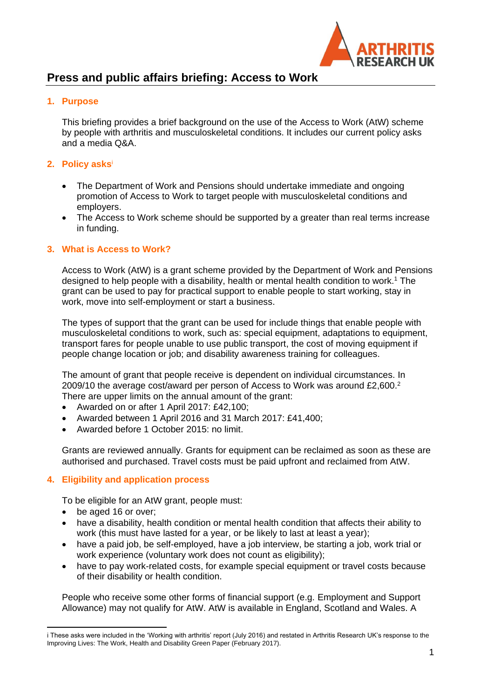

# **Press and public affairs briefing: Access to Work**

# **1. Purpose**

This briefing provides a brief background on the use of the Access to Work (AtW) scheme by people with arthritis and musculoskeletal conditions. It includes our current policy asks and a media Q&A.

## **2. Policy asks** i

- The Department of Work and Pensions should undertake immediate and ongoing promotion of Access to Work to target people with musculoskeletal conditions and employers.
- The Access to Work scheme should be supported by a greater than real terms increase in funding.

#### **3. What is Access to Work?**

Access to Work (AtW) is a grant scheme provided by the Department of Work and Pensions designed to help people with a disability, health or mental health condition to work.<sup>1</sup> The grant can be used to pay for practical support to enable people to start working, stay in work, move into self-employment or start a business.

The types of support that the grant can be used for include things that enable people with musculoskeletal conditions to work, such as: special equipment, adaptations to equipment, transport fares for people unable to use public transport, the cost of moving equipment if people change location or job; and disability awareness training for colleagues.

The amount of grant that people receive is dependent on individual circumstances. In 2009/10 the average cost/award per person of Access to Work was around £2,600.<sup>2</sup> There are upper limits on the annual amount of the grant:

- Awarded on or after 1 April 2017: £42,100;
- Awarded between 1 April 2016 and 31 March 2017: £41,400;
- Awarded before 1 October 2015: no limit.

Grants are reviewed annually. Grants for equipment can be reclaimed as soon as these are authorised and purchased. Travel costs must be paid upfront and reclaimed from AtW.

## **4. Eligibility and application process**

To be eligible for an AtW grant, people must:

- be aged 16 or over:
- have a disability, health condition or mental health condition that affects their ability to work (this must have lasted for a year, or be likely to last at least a year);
- have a paid job, be self-employed, have a job interview, be starting a job, work trial or work experience (voluntary work does not count as eligibility);
- have to pay work-related costs, for example special equipment or travel costs because of their disability or health condition.

People who receive some other forms of financial support (e.g. Employment and Support Allowance) may not qualify for AtW. AtW is available in England, Scotland and Wales. A

 $\overline{\phantom{a}}$ i These asks were included in the 'Working with arthritis' report (July 2016) and restated in Arthritis Research UK's response to the Improving Lives: The Work, Health and Disability Green Paper (February 2017).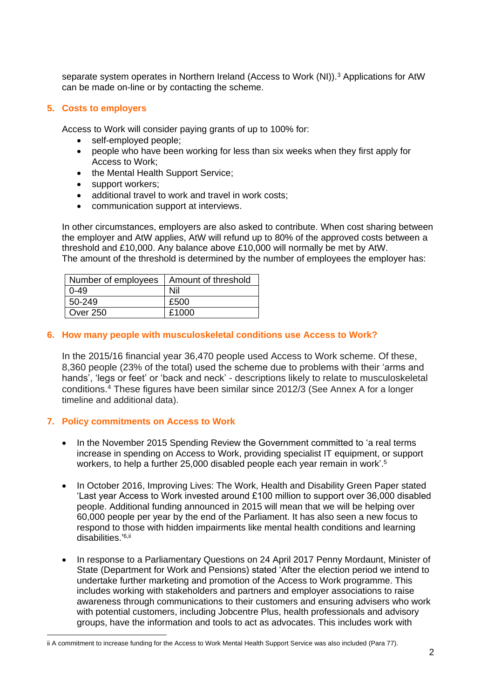separate system operates in Northern Ireland (Access to Work (NI)).<sup>3</sup> Applications for AtW can be made on-line or by contacting the scheme.

# **5. Costs to employers**

Access to Work will consider paying grants of up to 100% for:

- self-employed people;
- people who have been working for less than six weeks when they first apply for Access to Work;
- the Mental Health Support Service;
- support workers;
- additional travel to work and travel in work costs;
- communication support at interviews.

In other circumstances, employers are also asked to contribute. When cost sharing between the employer and AtW applies, AtW will refund up to 80% of the approved costs between a threshold and £10,000. Any balance above £10,000 will normally be met by AtW. The amount of the threshold is determined by the number of employees the employer has:

| Number of employees | Amount of threshold |  |  |  |  |
|---------------------|---------------------|--|--|--|--|
| $0 - 49$            | Nil                 |  |  |  |  |
| 50-249              | £500                |  |  |  |  |
| <b>Over 250</b>     | £1000               |  |  |  |  |

## **6. How many people with musculoskeletal conditions use Access to Work?**

In the 2015/16 financial year 36,470 people used Access to Work scheme. Of these, 8,360 people (23% of the total) used the scheme due to problems with their 'arms and hands', 'legs or feet' or 'back and neck' - descriptions likely to relate to musculoskeletal conditions. <sup>4</sup> These figures have been similar since 2012/3 (See Annex A for a longer timeline and additional data).

## **7. Policy commitments on Access to Work**

 $\overline{\phantom{a}}$ 

- In the November 2015 Spending Review the Government committed to 'a real terms increase in spending on Access to Work, providing specialist IT equipment, or support workers, to help a further 25,000 disabled people each year remain in work'.<sup>5</sup>
- In October 2016, Improving Lives: The Work, Health and Disability Green Paper stated 'Last year Access to Work invested around £100 million to support over 36,000 disabled people. Additional funding announced in 2015 will mean that we will be helping over 60,000 people per year by the end of the Parliament. It has also seen a new focus to respond to those with hidden impairments like mental health conditions and learning disabilities.'<sup>6,ii</sup>
- In response to a Parliamentary Questions on 24 April 2017 Penny Mordaunt, Minister of State (Department for Work and Pensions) stated 'After the election period we intend to undertake further marketing and promotion of the Access to Work programme. This includes working with stakeholders and partners and employer associations to raise awareness through communications to their customers and ensuring advisers who work with potential customers, including Jobcentre Plus, health professionals and advisory groups, have the information and tools to act as advocates. This includes work with

ii A commitment to increase funding for the Access to Work Mental Health Support Service was also included (Para 77).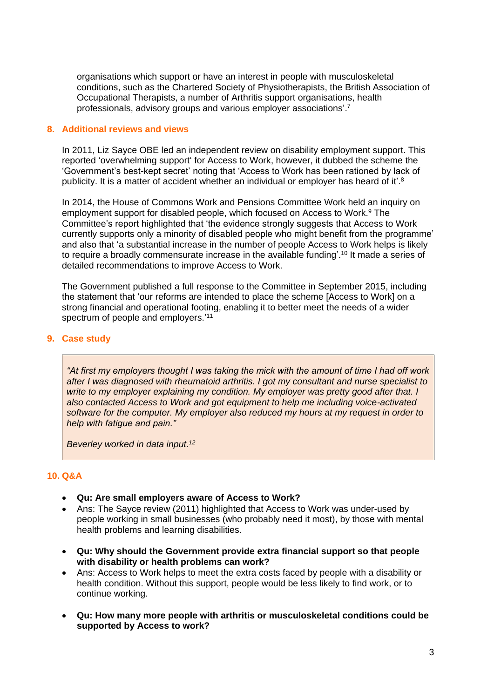organisations which support or have an interest in people with musculoskeletal conditions, such as the Chartered Society of Physiotherapists, the British Association of Occupational Therapists, a number of Arthritis support organisations, health professionals, advisory groups and various employer associations'.<sup>7</sup>

#### **8. Additional reviews and views**

In 2011, Liz Sayce OBE led an independent review on disability employment support. This reported 'overwhelming support' for Access to Work, however, it dubbed the scheme the 'Government's best-kept secret' noting that 'Access to Work has been rationed by lack of publicity. It is a matter of accident whether an individual or employer has heard of it'.<sup>8</sup>

In 2014, the House of Commons Work and Pensions Committee Work held an inquiry on employment support for disabled people, which focused on Access to Work. <sup>9</sup> The Committee's report highlighted that 'the evidence strongly suggests that Access to Work currently supports only a minority of disabled people who might benefit from the programme' and also that 'a substantial increase in the number of people Access to Work helps is likely to require a broadly commensurate increase in the available funding'.<sup>10</sup> It made a series of detailed recommendations to improve Access to Work.

The Government published a full response to the Committee in September 2015, including the statement that 'our reforms are intended to place the scheme [Access to Work] on a strong financial and operational footing, enabling it to better meet the needs of a wider spectrum of people and employers.<sup>'11</sup>

#### **9. Case study**

*"At first my employers thought I was taking the mick with the amount of time I had off work after I was diagnosed with rheumatoid arthritis. I got my consultant and nurse specialist to write to my employer explaining my condition. My employer was pretty good after that. I also contacted Access to Work and got equipment to help me including voice-activated software for the computer. My employer also reduced my hours at my request in order to help with fatigue and pain."*

*Beverley worked in data input. 12*

# **10. Q&A**

- **Qu: Are small employers aware of Access to Work?**
- Ans: The Sayce review (2011) highlighted that Access to Work was under-used by people working in small businesses (who probably need it most), by those with mental health problems and learning disabilities.
- **Qu: Why should the Government provide extra financial support so that people with disability or health problems can work?**
- Ans: Access to Work helps to meet the extra costs faced by people with a disability or health condition. Without this support, people would be less likely to find work, or to continue working.
- **Qu: How many more people with arthritis or musculoskeletal conditions could be supported by Access to work?**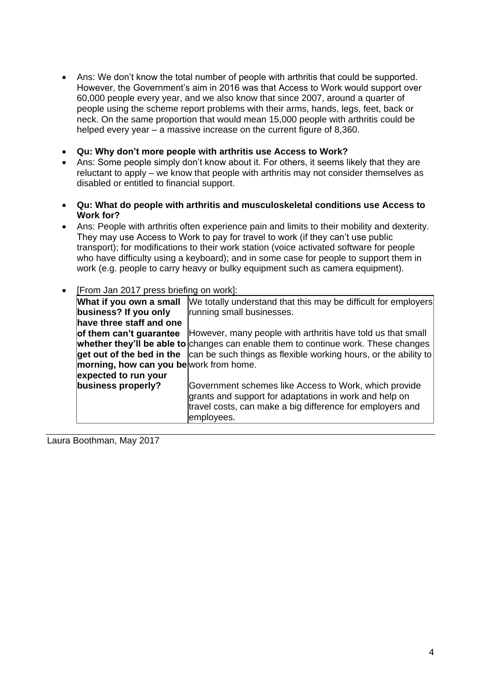- Ans: We don't know the total number of people with arthritis that could be supported. However, the Government's aim in 2016 was that Access to Work would support over 60,000 people every year, and we also know that since 2007, around a quarter of people using the scheme report problems with their arms, hands, legs, feet, back or neck. On the same proportion that would mean 15,000 people with arthritis could be helped every year – a massive increase on the current figure of 8,360.
- **Qu: Why don't more people with arthritis use Access to Work?**
- Ans: Some people simply don't know about it. For others, it seems likely that they are reluctant to apply – we know that people with arthritis may not consider themselves as disabled or entitled to financial support.
- **Qu: What do people with arthritis and musculoskeletal conditions use Access to Work for?**
- Ans: People with arthritis often experience pain and limits to their mobility and dexterity. They may use Access to Work to pay for travel to work (if they can't use public transport); for modifications to their work station (voice activated software for people who have difficulty using a keyboard); and in some case for people to support them in work (e.g. people to carry heavy or bulky equipment such as camera equipment).
- [From Jan 2017 press briefing on work]:

| What if you own a small                | We totally understand that this may be difficult for employers                                                                                                                             |
|----------------------------------------|--------------------------------------------------------------------------------------------------------------------------------------------------------------------------------------------|
| business? If you only                  | running small businesses.                                                                                                                                                                  |
| have three staff and one               |                                                                                                                                                                                            |
| of them can't guarantee                | However, many people with arthritis have told us that small                                                                                                                                |
|                                        | whether they'll be able to changes can enable them to continue work. These changes                                                                                                         |
|                                        | get out of the bed in the $ $ can be such things as flexible working hours, or the ability to                                                                                              |
| morning, how can you bework from home. |                                                                                                                                                                                            |
| expected to run your                   |                                                                                                                                                                                            |
| business properly?                     | Government schemes like Access to Work, which provide<br>grants and support for adaptations in work and help on<br>travel costs, can make a big difference for employers and<br>employees. |

Laura Boothman, May 2017